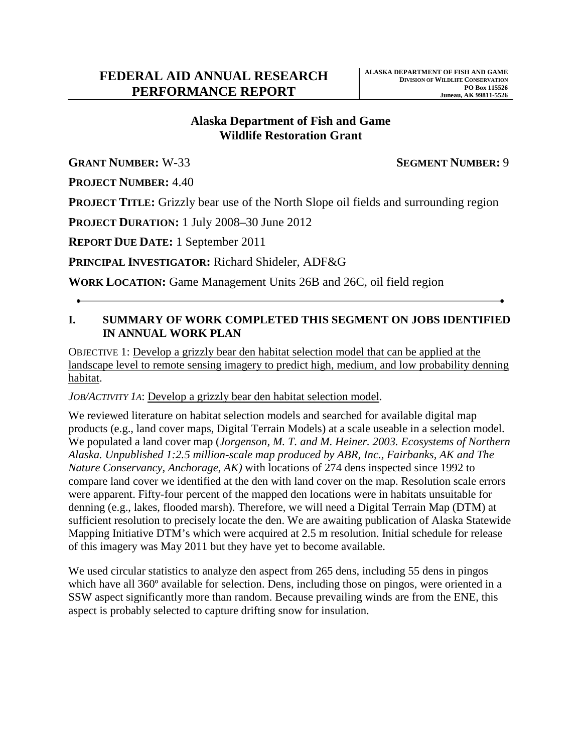# **Wildlife Restoration Grant Alaska Department of Fish and Game**

**GRANT NUMBER:** W-33 **SEGMENT NUMBER:** 9

**PROJECT NUMBER:** 4.40

**PROJECT TITLE:** Grizzly bear use of the North Slope oil fields and surrounding region

**PROJECT DURATION:** 1 July 2008–30 June 2012

**REPORT DUE DATE:** 1 September 2011

**PRINCIPAL INVESTIGATOR:** Richard Shideler, ADF&G

**WORK LOCATION:** Game Management Units 26B and 26C, oil field region

## **IN ANNUAL WORK PLAN I. SUMMARY OF WORK COMPLETED THIS SEGMENT ON JOBS IDENTIFIED**

 OBJECTIVE 1: Develop a grizzly bear den habitat selection model that can be applied at the landscape level to remote sensing imagery to predict high, medium, and low probability denning habitat.

*JOB/ACTIVITY 1A*: Develop a grizzly bear den habitat selection model.

 denning (e.g., lakes, flooded marsh). Therefore, we will need a Digital Terrain Map (DTM) at Mapping Initiative DTM's which were acquired at 2.5 m resolution. Initial schedule for release of this imagery was May 2011 but they have yet to become available. We reviewed literature on habitat selection models and searched for available digital map products (e.g., land cover maps, Digital Terrain Models) at a scale useable in a selection model. We populated a land cover map (*Jorgenson, M. T. and M. Heiner. 2003. Ecosystems of Northern Alaska. Unpublished 1:2.5 million-scale map produced by ABR, Inc., Fairbanks, AK and The Nature Conservancy, Anchorage, AK)* with locations of 274 dens inspected since 1992 to compare land cover we identified at the den with land cover on the map. Resolution scale errors were apparent. Fifty-four percent of the mapped den locations were in habitats unsuitable for sufficient resolution to precisely locate the den. We are awaiting publication of Alaska Statewide

We used circular statistics to analyze den aspect from 265 dens, including 55 dens in pingos which have all 360° available for selection. Dens, including those on pingos, were oriented in a SSW aspect significantly more than random. Because prevailing winds are from the ENE, this aspect is probably selected to capture drifting snow for insulation.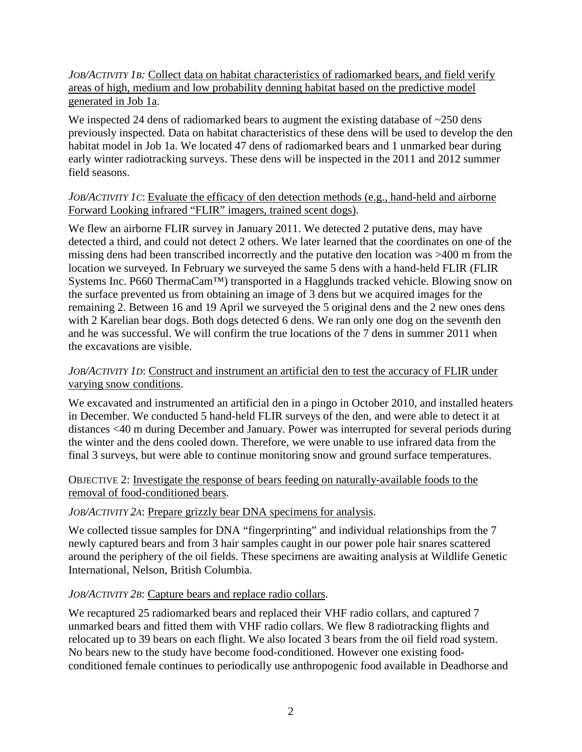*JOB/ACTIVITY 1B:* Collect data on habitat characteristics of radiomarked bears, and field verify areas of high, medium and low probability denning habitat based on the predictive model generated in Job 1a.

We inspected 24 dens of radiomarked bears to augment the existing database of  $\sim$ 250 dens previously inspected. Data on habitat characteristics of these dens will be used to develop the den habitat model in Job 1a. We located 47 dens of radiomarked bears and 1 unmarked bear during early winter radiotracking surveys. These dens will be inspected in the 2011 and 2012 summer field seasons.

#### Forward Looking infrared "FLIR" imagers, trained scent dogs). *JOB/ACTIVITY 1C*: Evaluate the efficacy of den detection methods (e.g., hand-held and airborne

 location we surveyed. In February we surveyed the same 5 dens with a hand-held FLIR (FLIR the surface prevented us from obtaining an image of 3 dens but we acquired images for the with 2 Karelian bear dogs. Both dogs detected 6 dens. We ran only one dog on the seventh den We flew an airborne FLIR survey in January 2011. We detected 2 putative dens, may have detected a third, and could not detect 2 others. We later learned that the coordinates on one of the missing dens had been transcribed incorrectly and the putative den location was >400 m from the Systems Inc. P660 ThermaCam™) transported in a Hagglunds tracked vehicle. Blowing snow on remaining 2. Between 16 and 19 April we surveyed the 5 original dens and the 2 new ones dens and he was successful. We will confirm the true locations of the 7 dens in summer 2011 when the excavations are visible.

## *JOB/ACTIVITY 1D*: Construct and instrument an artificial den to test the accuracy of FLIR under varying snow conditions.

 distances <40 m during December and January. Power was interrupted for several periods during We excavated and instrumented an artificial den in a pingo in October 2010, and installed heaters in December. We conducted 5 hand-held FLIR surveys of the den, and were able to detect it at the winter and the dens cooled down. Therefore, we were unable to use infrared data from the final 3 surveys, but were able to continue monitoring snow and ground surface temperatures.

#### OBJECTIVE 2: Investigate the response of bears feeding on naturally-available foods to the removal of food-conditioned bears.

## *JOB/ACTIVITY 2A*: Prepare grizzly bear DNA specimens for analysis.

We collected tissue samples for DNA "fingerprinting" and individual relationships from the 7 newly captured bears and from 3 hair samples caught in our power pole hair snares scattered around the periphery of the oil fields. These specimens are awaiting analysis at Wildlife Genetic International, Nelson, British Columbia.

## *JOB/ACTIVITY 2B*: Capture bears and replace radio collars.

 conditioned female continues to periodically use anthropogenic food available in Deadhorse and We recaptured 25 radiomarked bears and replaced their VHF radio collars, and captured 7 unmarked bears and fitted them with VHF radio collars. We flew 8 radiotracking flights and relocated up to 39 bears on each flight. We also located 3 bears from the oil field road system. No bears new to the study have become food-conditioned. However one existing food